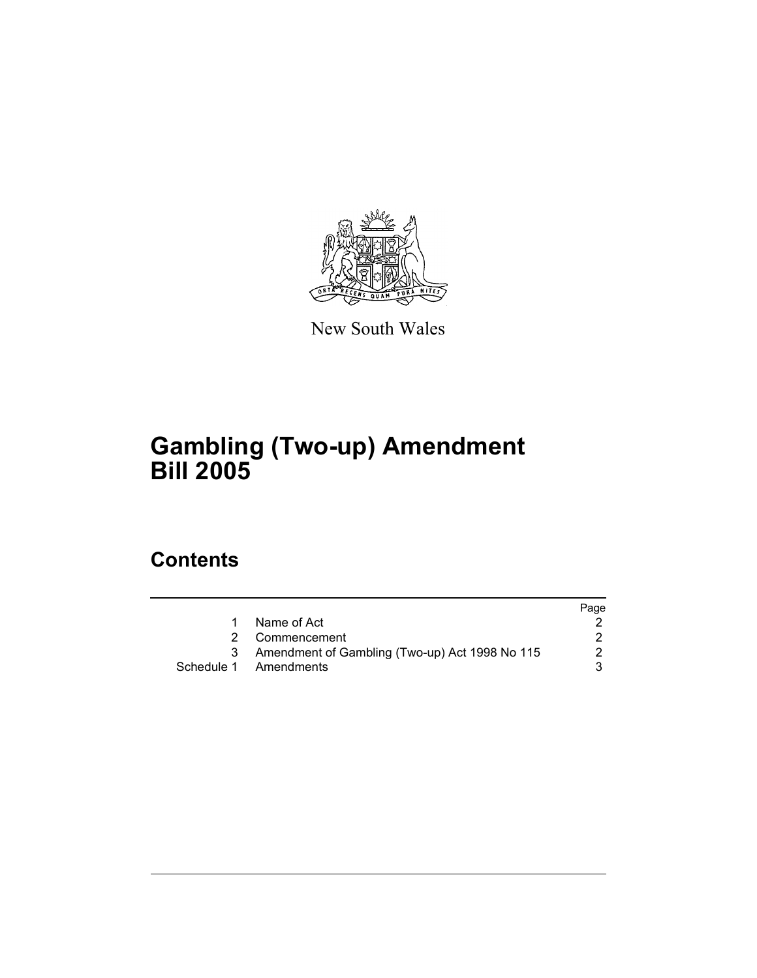

New South Wales

# **Gambling (Two-up) Amendment Bill 2005**

# **Contents**

|   |                                                | Page |
|---|------------------------------------------------|------|
|   | Name of Act                                    |      |
|   | 2 Commencement                                 |      |
| 3 | Amendment of Gambling (Two-up) Act 1998 No 115 |      |
|   | Schedule 1 Amendments                          |      |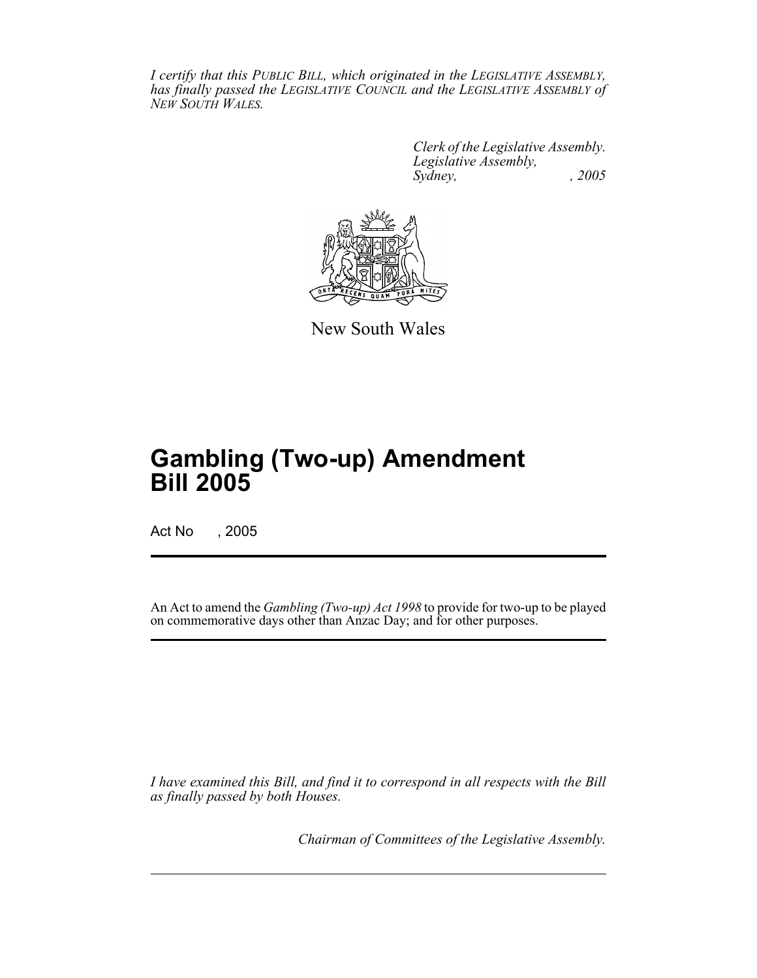*I certify that this PUBLIC BILL, which originated in the LEGISLATIVE ASSEMBLY, has finally passed the LEGISLATIVE COUNCIL and the LEGISLATIVE ASSEMBLY of NEW SOUTH WALES.*

> *Clerk of the Legislative Assembly. Legislative Assembly, Sydney, , 2005*



New South Wales

# **Gambling (Two-up) Amendment Bill 2005**

Act No , 2005

An Act to amend the *Gambling (Two-up) Act 1998* to provide for two-up to be played on commemorative days other than Anzac Day; and for other purposes.

*I have examined this Bill, and find it to correspond in all respects with the Bill as finally passed by both Houses.*

*Chairman of Committees of the Legislative Assembly.*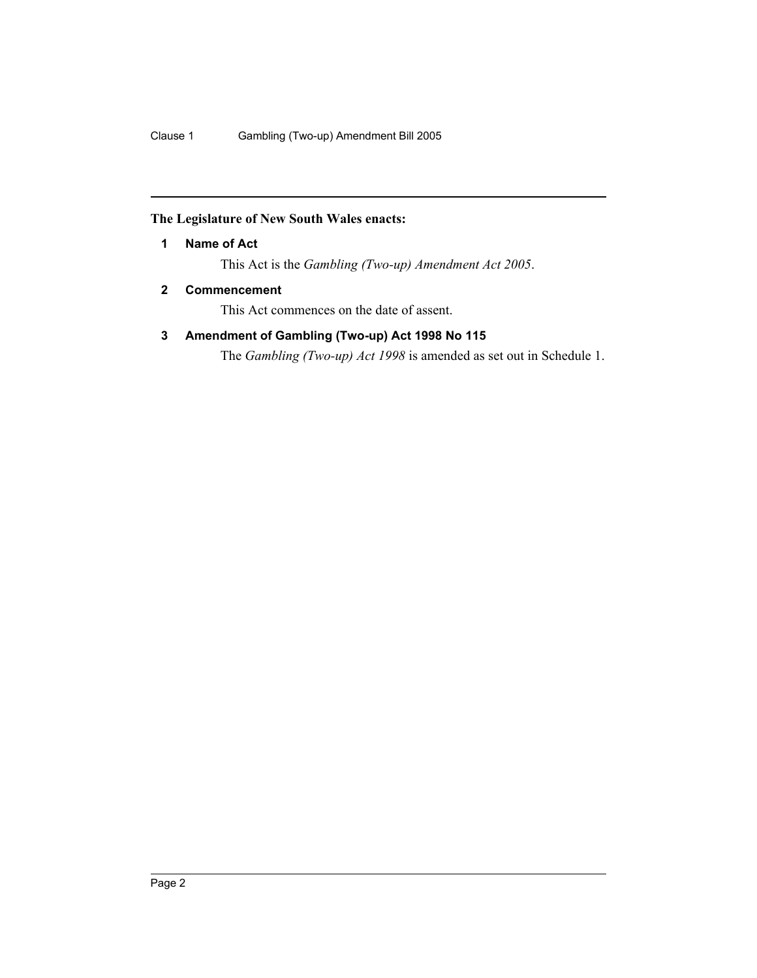### **The Legislature of New South Wales enacts:**

#### **1 Name of Act**

This Act is the *Gambling (Two-up) Amendment Act 2005*.

#### **2 Commencement**

This Act commences on the date of assent.

### **3 Amendment of Gambling (Two-up) Act 1998 No 115**

The *Gambling (Two-up) Act 1998* is amended as set out in Schedule 1.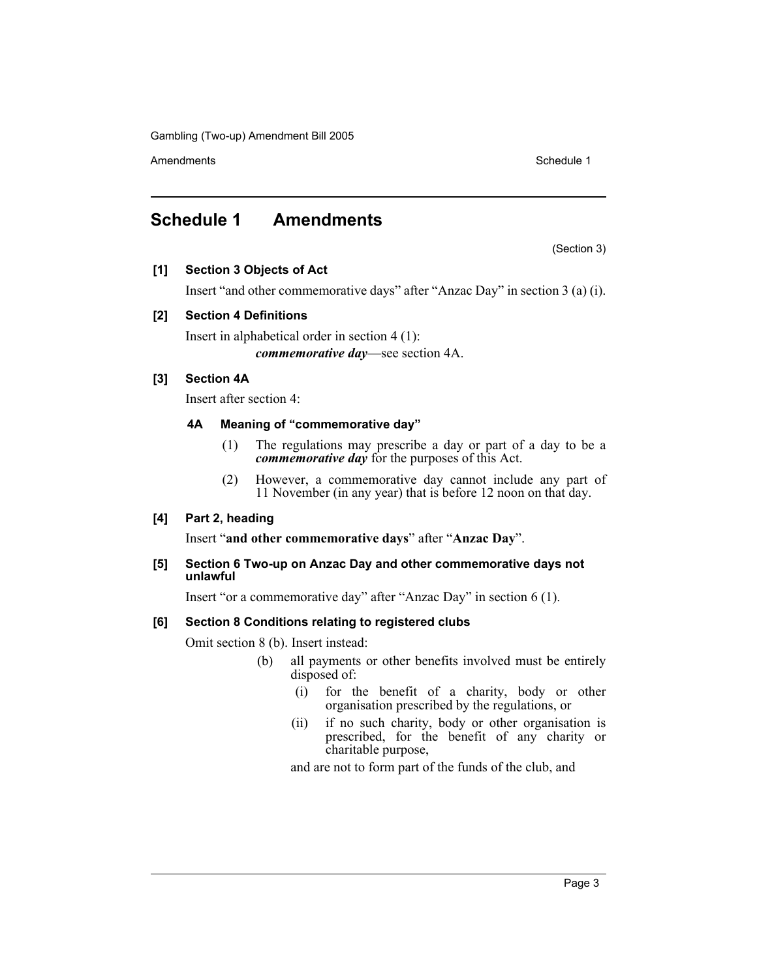Gambling (Two-up) Amendment Bill 2005

Amendments **Schedule 1** and the set of the set of the set of the set of the set of the set of the set of the set of the set of the set of the set of the set of the set of the set of the set of the set of the set of the set

## **Schedule 1 Amendments**

(Section 3)

#### **[1] Section 3 Objects of Act**

Insert "and other commemorative days" after "Anzac Day" in section 3 (a) (i).

#### **[2] Section 4 Definitions**

Insert in alphabetical order in section 4 (1): *commemorative day*—see section 4A.

#### **[3] Section 4A**

Insert after section 4:

#### **4A Meaning of "commemorative day"**

- (1) The regulations may prescribe a day or part of a day to be a *commemorative day* for the purposes of this Act.
- (2) However, a commemorative day cannot include any part of 11 November (in any year) that is before 12 noon on that day.

#### **[4] Part 2, heading**

Insert "**and other commemorative days**" after "**Anzac Day**".

#### **[5] Section 6 Two-up on Anzac Day and other commemorative days not unlawful**

Insert "or a commemorative day" after "Anzac Day" in section 6 (1).

#### **[6] Section 8 Conditions relating to registered clubs**

Omit section 8 (b). Insert instead:

- (b) all payments or other benefits involved must be entirely disposed of:
	- (i) for the benefit of a charity, body or other organisation prescribed by the regulations, or
	- (ii) if no such charity, body or other organisation is prescribed, for the benefit of any charity or charitable purpose,

and are not to form part of the funds of the club, and